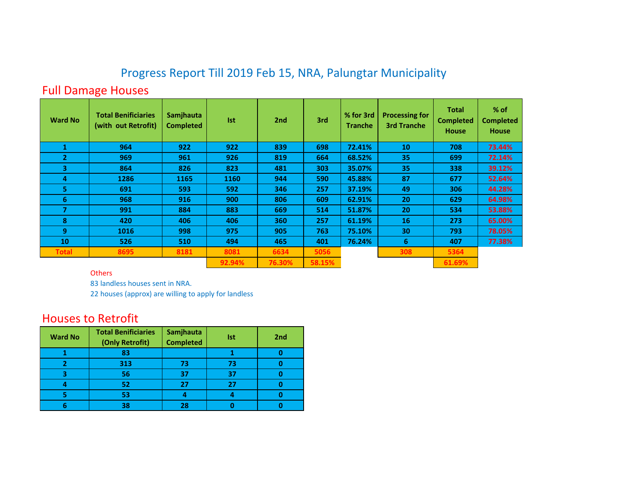## Progress Report Till 2019 Feb 15, NRA, Palungtar Municipality

## Full Damage Houses

| <b>Ward No</b> | <b>Total Benificiaries</b><br>(with out Retrofit) | Samjhauta<br><b>Completed</b> | <b>Ist</b> | 2 <sub>nd</sub> | 3rd    | % for 3rd<br><b>Tranche</b> | <b>Processing for</b><br><b>3rd Tranche</b> | <b>Total</b><br><b>Completed</b><br><b>House</b> | % of<br><b>Completed</b><br><b>House</b> |
|----------------|---------------------------------------------------|-------------------------------|------------|-----------------|--------|-----------------------------|---------------------------------------------|--------------------------------------------------|------------------------------------------|
|                | 964                                               | 922                           | 922        | 839             | 698    | 72.41%                      | 10                                          | 708                                              | 73.44%                                   |
| $\overline{2}$ | 969                                               | 961                           | 926        | 819             | 664    | 68.52%                      | 35                                          | 699                                              | 72.14%                                   |
| 3              | 864                                               | 826                           | 823        | 481             | 303    | 35.07%                      | 35                                          | 338                                              | 39.12%                                   |
| 4              | 1286                                              | 1165                          | 1160       | 944             | 590    | 45.88%                      | 87                                          | 677                                              | 52.64%                                   |
| 5.             | 691                                               | 593                           | 592        | 346             | 257    | 37.19%                      | 49                                          | 306                                              | 44.28%                                   |
| 6              | 968                                               | 916                           | 900        | 806             | 609    | 62.91%                      | 20                                          | 629                                              | 64.98%                                   |
| 7              | 991                                               | 884                           | 883        | 669             | 514    | 51.87%                      | 20                                          | 534                                              | 53.88%                                   |
| 8              | 420                                               | 406                           | 406        | 360             | 257    | 61.19%                      | 16                                          | 273                                              | 65.00%                                   |
| 9              | 1016                                              | 998                           | 975        | 905             | 763    | 75.10%                      | 30                                          | 793                                              | 78.05%                                   |
| 10             | 526                                               | 510                           | 494        | 465             | 401    | 76.24%                      | 6                                           | 407                                              | 77.38%                                   |
| <b>Total</b>   | 8695                                              | 8181                          | 8081       | 6634            | 5056   |                             | 308                                         | 5364                                             |                                          |
|                |                                                   |                               | 92.94%     | 76.30%          | 58.15% |                             |                                             | 61.69%                                           |                                          |

## **Others**

83 landless houses sent in NRA.

22 houses (approx) are willing to apply for landless

## Houses to Retrofit

| <b>Ward No</b> | <b>Total Benificiaries</b><br>(Only Retrofit) | Samjhauta<br><b>Completed</b> | Ist | 2 <sub>nd</sub> |
|----------------|-----------------------------------------------|-------------------------------|-----|-----------------|
|                | 83                                            |                               |     |                 |
| 2              | 313                                           | 73                            | 73  |                 |
| 3              | 56                                            | 37                            | 37  |                 |
| 4              | 52                                            | 27                            | 27  |                 |
| 5              | 53                                            | 4                             |     |                 |
| 6              | 38                                            | 28                            |     |                 |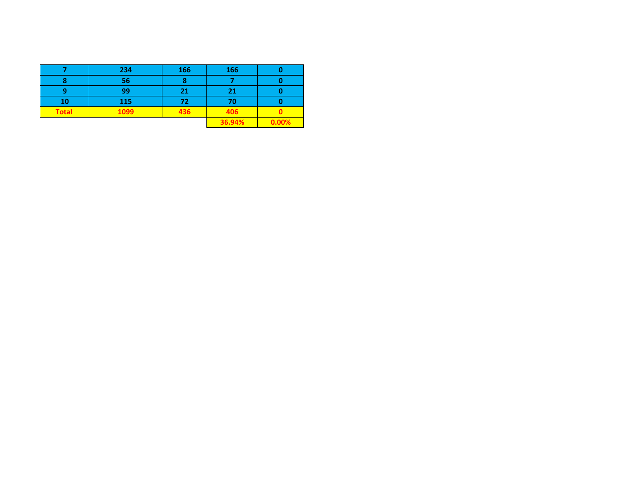|              | 234  | 166 | 166    |       |
|--------------|------|-----|--------|-------|
| 8            | 56   |     |        |       |
|              | 99   | 21  | 21     |       |
| 10           | 115  | 72  | 70     |       |
| <b>Total</b> | 1099 | 436 | 406    |       |
|              |      |     | 36.94% | 0.00% |